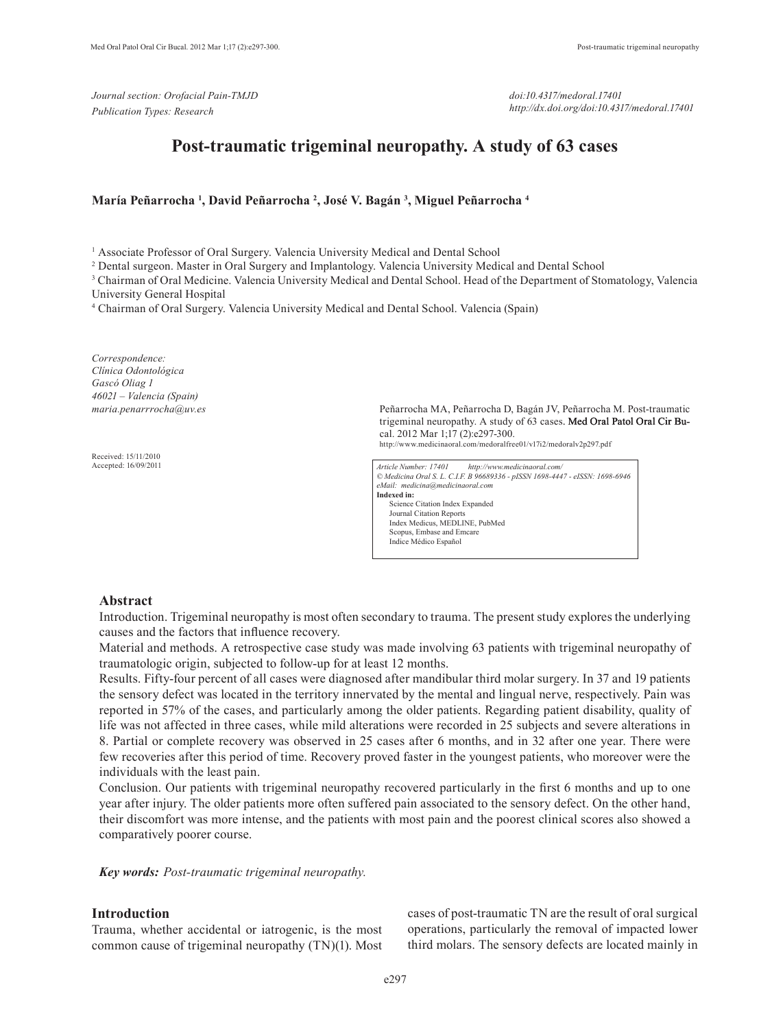*Journal section: Orofacial Pain-TMJD Publication Types: Research*

*doi:10.4317/medoral.17401 http://dx.doi.org/doi:10.4317/medoral.17401*

# **Post-traumatic trigeminal neuropathy. A study of 63 cases**

### **María Peñarrocha 1 , David Peñarrocha 2 , José V. Bagán 3 , Miguel Peñarrocha 4**

<sup>1</sup> Associate Professor of Oral Surgery. Valencia University Medical and Dental School

2 Dental surgeon. Master in Oral Surgery and Implantology. Valencia University Medical and Dental School

3 Chairman of Oral Medicine. Valencia University Medical and Dental School. Head of the Department of Stomatology, Valencia University General Hospital

4 Chairman of Oral Surgery. Valencia University Medical and Dental School. Valencia (Spain)

*Correspondence: Clínica Odontológica Gascó Oliag 1 46021 – Valencia (Spain) maria.penarrrocha@uv.es*

Received: 15/11/2010 Accepted: 16/09/2011 Peñarrocha MA, Peñarrocha D, Bagán JV, Peñarrocha M. Post-traumatic trigeminal neuropathy. A study of 63 cases. Med Oral Patol Oral Cir Bucal. 2012 Mar 1;17 (2):e297-300. http://www.medicinaoral.com/medoralfree01/v17i2/medoralv2p297.pdf

*Article Number: 17401 http://www.medicinaoral.com/ © Medicina Oral S. L. C.I.F. B 96689336 - pISSN 1698-4447 - eISSN: 1698-6946 eMail: medicina@medicinaoral.com*  **Indexed in:**  Science Citation Index Expanded Journal Citation Reports Index Medicus, MEDLINE, PubMed Scopus, Embase and Emcare Indice Médico Español

#### **Abstract**

Introduction. Trigeminal neuropathy is most often secondary to trauma. The present study explores the underlying causes and the factors that influence recovery.

Material and methods. A retrospective case study was made involving 63 patients with trigeminal neuropathy of traumatologic origin, subjected to follow-up for at least 12 months.

Results. Fifty-four percent of all cases were diagnosed after mandibular third molar surgery. In 37 and 19 patients the sensory defect was located in the territory innervated by the mental and lingual nerve, respectively. Pain was reported in 57% of the cases, and particularly among the older patients. Regarding patient disability, quality of life was not affected in three cases, while mild alterations were recorded in 25 subjects and severe alterations in 8. Partial or complete recovery was observed in 25 cases after 6 months, and in 32 after one year. There were few recoveries after this period of time. Recovery proved faster in the youngest patients, who moreover were the individuals with the least pain.

Conclusion. Our patients with trigeminal neuropathy recovered particularly in the first 6 months and up to one year after injury. The older patients more often suffered pain associated to the sensory defect. On the other hand, their discomfort was more intense, and the patients with most pain and the poorest clinical scores also showed a comparatively poorer course.

*Key words: Post-traumatic trigeminal neuropathy.*

## **Introduction**

Trauma, whether accidental or iatrogenic, is the most common cause of trigeminal neuropathy (TN)(1). Most cases of post-traumatic TN are the result of oral surgical operations, particularly the removal of impacted lower third molars. The sensory defects are located mainly in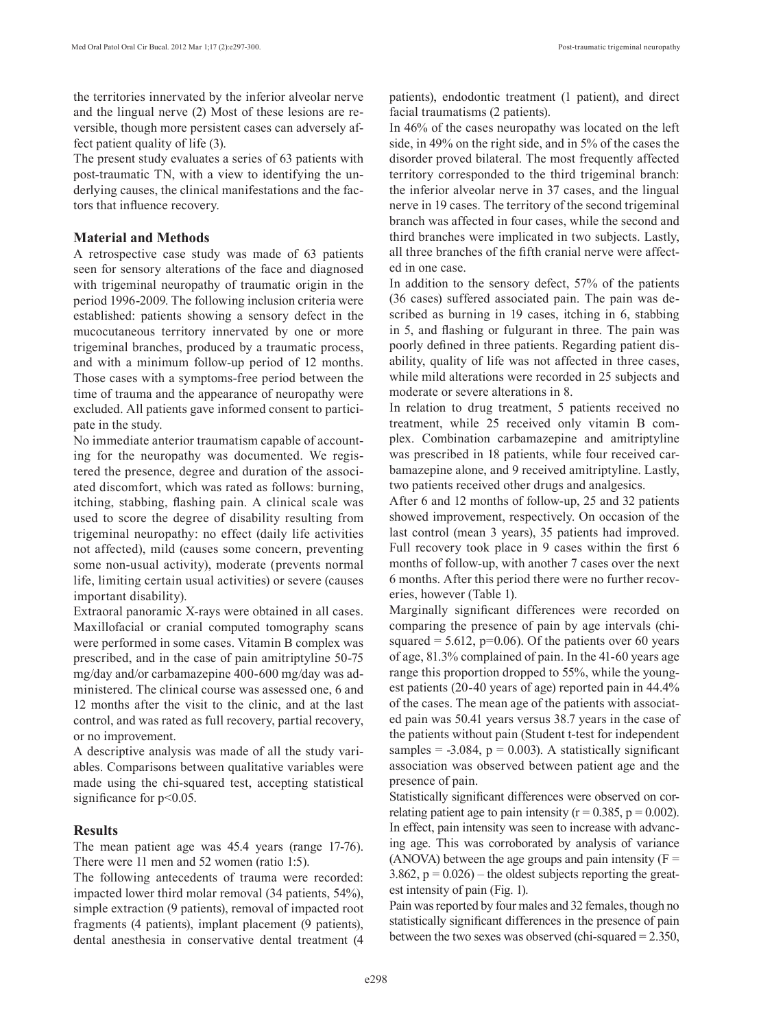the territories innervated by the inferior alveolar nerve and the lingual nerve (2) Most of these lesions are reversible, though more persistent cases can adversely affect patient quality of life (3).

The present study evaluates a series of 63 patients with post-traumatic TN, with a view to identifying the underlying causes, the clinical manifestations and the factors that influence recovery.

# **Material and Methods**

A retrospective case study was made of 63 patients seen for sensory alterations of the face and diagnosed with trigeminal neuropathy of traumatic origin in the period 1996-2009. The following inclusion criteria were established: patients showing a sensory defect in the mucocutaneous territory innervated by one or more trigeminal branches, produced by a traumatic process, and with a minimum follow-up period of 12 months. Those cases with a symptoms-free period between the time of trauma and the appearance of neuropathy were excluded. All patients gave informed consent to participate in the study.

No immediate anterior traumatism capable of accounting for the neuropathy was documented. We registered the presence, degree and duration of the associated discomfort, which was rated as follows: burning, itching, stabbing, flashing pain. A clinical scale was used to score the degree of disability resulting from trigeminal neuropathy: no effect (daily life activities not affected), mild (causes some concern, preventing some non-usual activity), moderate (prevents normal life, limiting certain usual activities) or severe (causes important disability).

Extraoral panoramic X-rays were obtained in all cases. Maxillofacial or cranial computed tomography scans were performed in some cases. Vitamin B complex was prescribed, and in the case of pain amitriptyline 50-75 mg/day and/or carbamazepine 400-600 mg/day was administered. The clinical course was assessed one, 6 and 12 months after the visit to the clinic, and at the last control, and was rated as full recovery, partial recovery, or no improvement.

A descriptive analysis was made of all the study variables. Comparisons between qualitative variables were made using the chi-squared test, accepting statistical significance for  $p<0.05$ .

# **Results**

The mean patient age was 45.4 years (range 17-76). There were 11 men and 52 women (ratio 1:5).

The following antecedents of trauma were recorded: impacted lower third molar removal (34 patients, 54%), simple extraction (9 patients), removal of impacted root fragments (4 patients), implant placement (9 patients), dental anesthesia in conservative dental treatment (4

patients), endodontic treatment (1 patient), and direct facial traumatisms (2 patients).

In 46% of the cases neuropathy was located on the left side, in 49% on the right side, and in 5% of the cases the disorder proved bilateral. The most frequently affected territory corresponded to the third trigeminal branch: the inferior alveolar nerve in 37 cases, and the lingual nerve in 19 cases. The territory of the second trigeminal branch was affected in four cases, while the second and third branches were implicated in two subjects. Lastly, all three branches of the fifth cranial nerve were affected in one case.

In addition to the sensory defect, 57% of the patients (36 cases) suffered associated pain. The pain was described as burning in 19 cases, itching in 6, stabbing in 5, and flashing or fulgurant in three. The pain was poorly defined in three patients. Regarding patient disability, quality of life was not affected in three cases, while mild alterations were recorded in 25 subjects and moderate or severe alterations in 8.

In relation to drug treatment, 5 patients received no treatment, while 25 received only vitamin B complex. Combination carbamazepine and amitriptyline was prescribed in 18 patients, while four received carbamazepine alone, and 9 received amitriptyline. Lastly, two patients received other drugs and analgesics.

After 6 and 12 months of follow-up, 25 and 32 patients showed improvement, respectively. On occasion of the last control (mean 3 years), 35 patients had improved. Full recovery took place in 9 cases within the first 6 months of follow-up, with another 7 cases over the next 6 months. After this period there were no further recoveries, however (Table 1).

Marginally significant differences were recorded on comparing the presence of pain by age intervals (chisquared  $= 5.612$ , p=0.06). Of the patients over 60 years of age, 81.3% complained of pain. In the 41-60 years age range this proportion dropped to 55%, while the youngest patients (20-40 years of age) reported pain in 44.4% of the cases. The mean age of the patients with associated pain was 50.41 years versus 38.7 years in the case of the patients without pain (Student t-test for independent samples =  $-3.084$ ,  $p = 0.003$ ). A statistically significant association was observed between patient age and the presence of pain.

Statistically significant differences were observed on correlating patient age to pain intensity ( $r = 0.385$ ,  $p = 0.002$ ). In effect, pain intensity was seen to increase with advancing age. This was corroborated by analysis of variance (ANOVA) between the age groups and pain intensity  $(F =$ 3.862,  $p = 0.026$ ) – the oldest subjects reporting the greatest intensity of pain (Fig. 1).

Pain was reported by four males and 32 females, though no statistically significant differences in the presence of pain between the two sexes was observed (chi-squared = 2.350,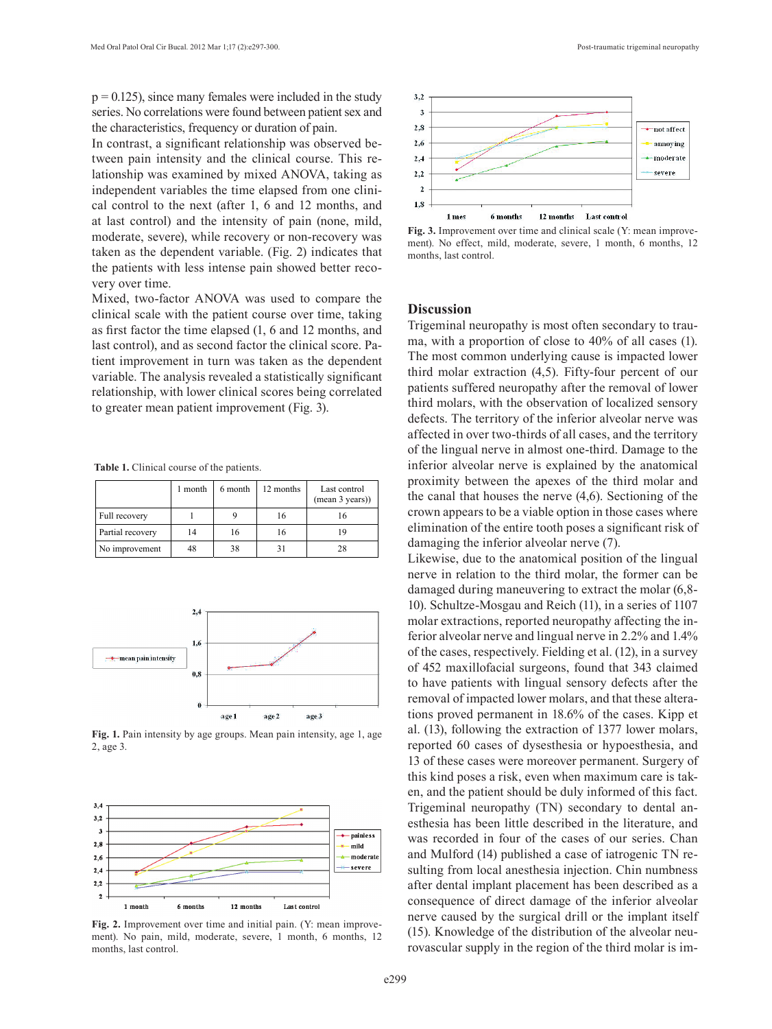$p = 0.125$ , since many females were included in the study series. No correlations were found between patient sex and the characteristics, frequency or duration of pain.

In contrast, a significant relationship was observed between pain intensity and the clinical course. This relationship was examined by mixed ANOVA, taking as independent variables the time elapsed from one clinical control to the next (after 1, 6 and 12 months, and at last control) and the intensity of pain (none, mild, moderate, severe), while recovery or non-recovery was taken as the dependent variable. (Fig. 2) indicates that the patients with less intense pain showed better recovery over time.

Mixed, two-factor ANOVA was used to compare the clinical scale with the patient course over time, taking as first factor the time elapsed (1, 6 and 12 months, and last control), and as second factor the clinical score. Patient improvement in turn was taken as the dependent variable. The analysis revealed a statistically significant relationship, with lower clinical scores being correlated to greater mean patient improvement (Fig. 3).

**Table 1.** Clinical course of the patients.

|                  | month | 6 month | 12 months | Last control<br>(mean 3 years)) |
|------------------|-------|---------|-----------|---------------------------------|
| Full recovery    |       |         | 16        |                                 |
| Partial recovery | 14    | 16      | 16        | 19                              |
| No improvement   | 48    | 38      |           | 28                              |



**Fig. 1.** Pain intensity by age groups. Mean pain intensity, age 1, age 2, age 3.



**Fig. 2.** Improvement over time and initial pain. (Y: mean improvement). No pain, mild, moderate, severe, 1 month, 6 months, 12 months, last control.



**Fig. 3.** Improvement over time and clinical scale (Y: mean improvement). No effect, mild, moderate, severe, 1 month, 6 months, 12 months, last control.

## **Discussion**

Trigeminal neuropathy is most often secondary to trauma, with a proportion of close to 40% of all cases (1). The most common underlying cause is impacted lower third molar extraction (4,5). Fifty-four percent of our patients suffered neuropathy after the removal of lower third molars, with the observation of localized sensory defects. The territory of the inferior alveolar nerve was affected in over two-thirds of all cases, and the territory of the lingual nerve in almost one-third. Damage to the inferior alveolar nerve is explained by the anatomical proximity between the apexes of the third molar and the canal that houses the nerve (4,6). Sectioning of the crown appears to be a viable option in those cases where elimination of the entire tooth poses a significant risk of damaging the inferior alveolar nerve (7).

Likewise, due to the anatomical position of the lingual nerve in relation to the third molar, the former can be damaged during maneuvering to extract the molar (6,8- 10). Schultze-Mosgau and Reich (11), in a series of 1107 molar extractions, reported neuropathy affecting the inferior alveolar nerve and lingual nerve in 2.2% and 1.4% of the cases, respectively. Fielding et al. (12), in a survey of 452 maxillofacial surgeons, found that 343 claimed to have patients with lingual sensory defects after the removal of impacted lower molars, and that these alterations proved permanent in 18.6% of the cases. Kipp et al. (13), following the extraction of 1377 lower molars, reported 60 cases of dysesthesia or hypoesthesia, and 13 of these cases were moreover permanent. Surgery of this kind poses a risk, even when maximum care is taken, and the patient should be duly informed of this fact. Trigeminal neuropathy (TN) secondary to dental anesthesia has been little described in the literature, and was recorded in four of the cases of our series. Chan and Mulford (14) published a case of iatrogenic TN resulting from local anesthesia injection. Chin numbness after dental implant placement has been described as a consequence of direct damage of the inferior alveolar nerve caused by the surgical drill or the implant itself (15). Knowledge of the distribution of the alveolar neurovascular supply in the region of the third molar is im